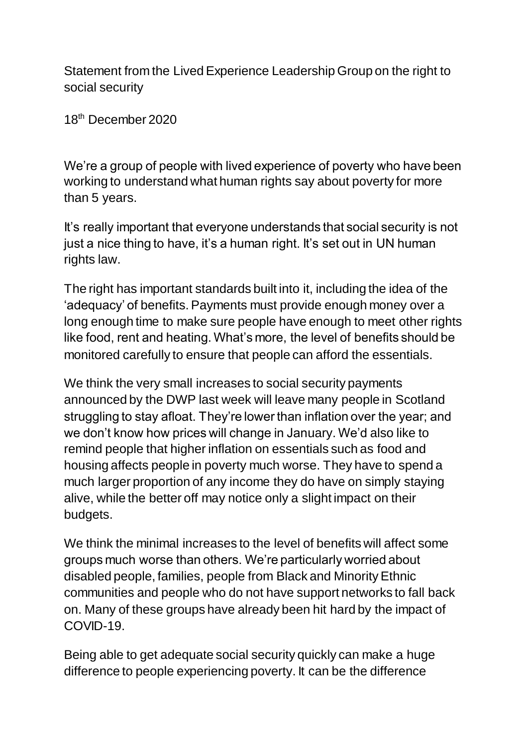Statement from the Lived Experience Leadership Group on the right to social security

18th December 2020

We're a group of people with lived experience of poverty who have been working to understand what human rights say about poverty for more than 5 years.

It's really important that everyone understands that social security is not just a nice thing to have, it's a human right. It's set out in UN human rights law.

The right has important standards built into it, including the idea of the 'adequacy' of benefits. Payments must provide enough money over a long enough time to make sure people have enough to meet other rights like food, rent and heating. What's more, the level of benefits should be monitored carefully to ensure that people can afford the essentials.

We think the very small increases to social security payments announced by the DWP last week will leave many people in Scotland struggling to stay afloat. They're lower than inflation over the year; and we don't know how prices will change in January. We'd also like to remind people that higher inflation on essentials such as food and housing affects people in poverty much worse. They have to spend a much larger proportion of any income they do have on simply staying alive, while the better off may notice only a slight impact on their budgets.

We think the minimal increases to the level of benefits will affect some groups much worse than others. We're particularly worried about disabled people, families, people from Black and Minority Ethnic communities and people who do not have support networks to fall back on. Many of these groups have already been hit hard by the impact of COVID-19.

Being able to get adequate social security quickly can make a huge difference to people experiencing poverty. It can be the difference